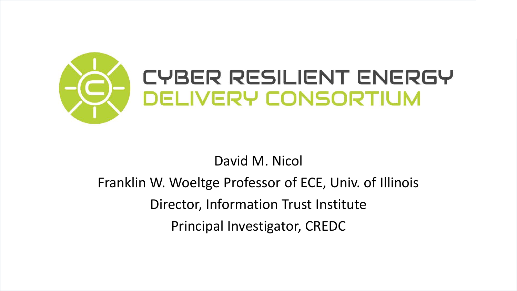

### David M. Nicol

Franklin W. Woeltge Professor of ECE, Univ. of Illinois Director, Information Trust Institute Principal Investigator, CREDC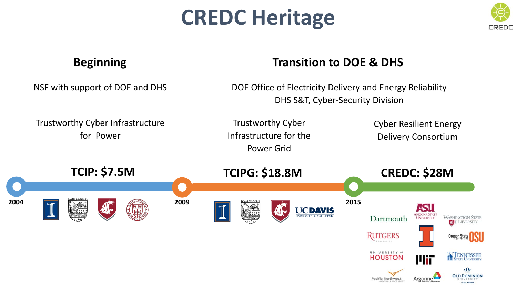# **CREDC Heritage**



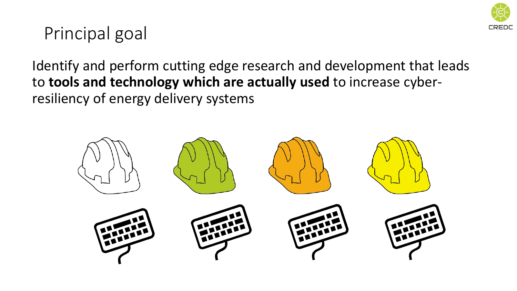

### Principal goal

Identify and perform cutting edge research and development that leads to **tools and technology which are actually used** to increase cyberresiliency of energy delivery systems

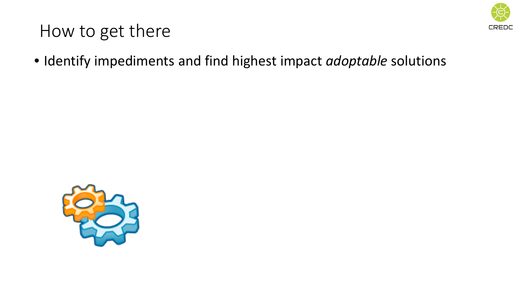

• Identify impediments and find highest impact *adoptable* solutions

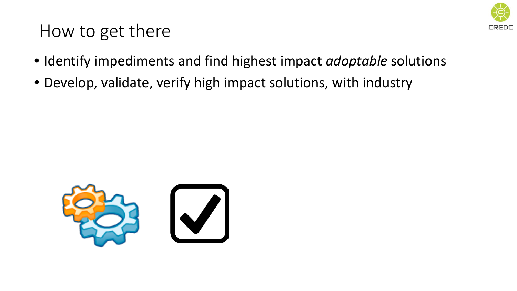

- Identify impediments and find highest impact *adoptable* solutions
- Develop, validate, verify high impact solutions, with industry

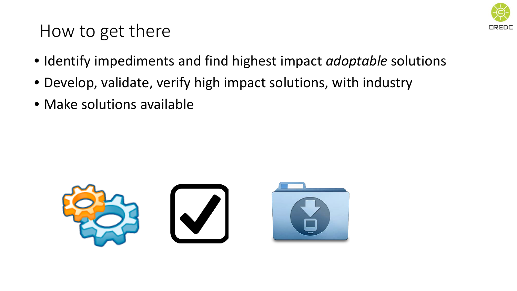

- Identify impediments and find highest impact *adoptable* solutions
- Develop, validate, verify high impact solutions, with industry
- Make solutions available

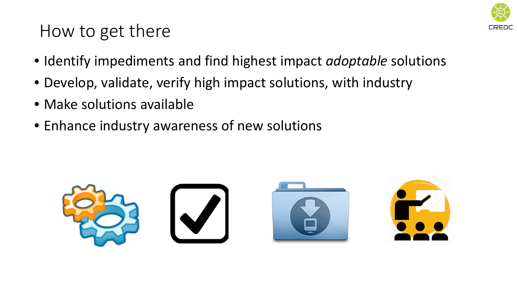

- Identify impediments and find highest impact *adoptable* solutions
- Develop, validate, verify high impact solutions, with industry
- Make solutions available
- Enhance industry awareness of new solutions

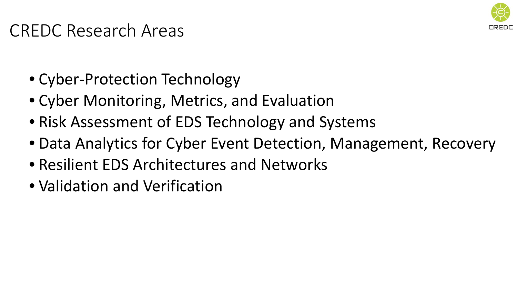

### CREDC Research Areas

- Cyber-Protection Technology
- Cyber Monitoring, Metrics, and Evaluation
- Risk Assessment of EDS Technology and Systems
- Data Analytics for Cyber Event Detection, Management, Recovery
- Resilient EDS Architectures and Networks
- Validation and Verification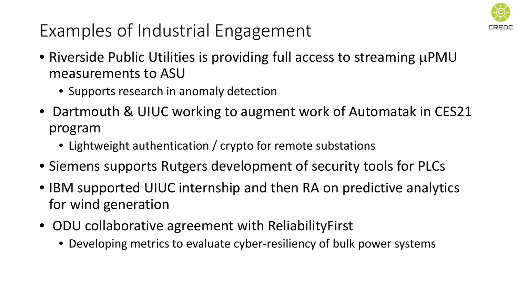

## Examples of Industrial Engagement

- Riverside Public Utilities is providing full access to streaming  $\mu$ PMU measurements to ASU
	- Supports research in anomaly detection
- Dartmouth & UIUC working to augment work of Automatak in CES21 program
	- Lightweight authentication / crypto for remote substations
- Siemens supports Rutgers development of security tools for PLCs
- IBM supported UIUC internship and then RA on predictive analytics for wind generation
- ODU collaborative agreement with ReliabilityFirst
	- Developing metrics to evaluate cyber-resiliency of bulk power systems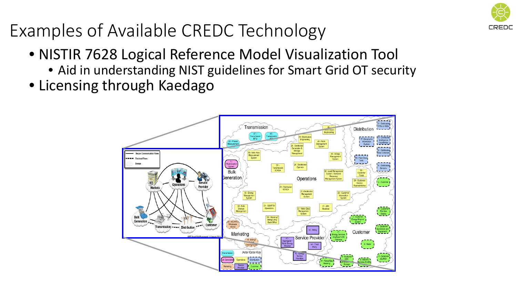

- NISTIR 7628 Logical Reference Model Visualization Tool
	- Aid in understanding NIST guidelines for Smart Grid OT security
- Licensing through Kaedago

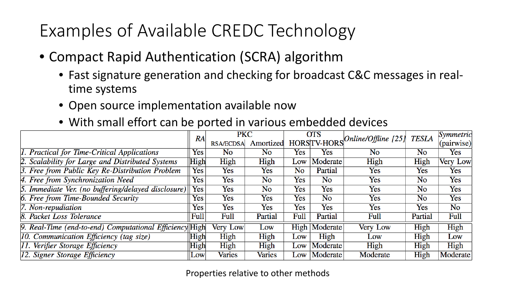- Compact Rapid Authentication (SCRA) algorithm
	- Fast signature generation and checking for broadcast C&C messages in realtime systems
	- Open source implementation available now
	- With small effort can be ported in various embedded devices

|                                                         | RA         | <b>PKC</b>       |           | <b>OTS</b> |                    | $\sqrt{Online/O}$ ffline [25] | TESLA     | Symmetric          |
|---------------------------------------------------------|------------|------------------|-----------|------------|--------------------|-------------------------------|-----------|--------------------|
|                                                         |            | <b>RSA/ECDSA</b> | Amortized |            | <b>HORSTV-HORS</b> |                               |           | $ $ (pairwise) $ $ |
| 1. Practical for Time-Critical Applications             | Yes        | No               | No        | Yes        | Yes                | N <sub>o</sub>                | No        | Yes                |
| 2. Scalability for Large and Distributed Systems        | High       | High             | High      | Low        | Moderate           | High                          | High      | <b>Very Low</b>    |
| 3. Free from Public Key Re-Distribution Problem         | Yes        | Yes              | Yes       | <b>No</b>  | Partial            | Yes                           | Yes       | Yes                |
| 4. Free from Synchronization Need                       | Yes        | Yes              | No        | Yes        | <b>No</b>          | Yes                           | <b>No</b> | Yes                |
| 5. Immediate Ver. (no buffering/delayed disclosure)     | Yes        | Yes              | <b>No</b> | Yes        | Yes                | Yes                           | No        | Yes                |
| 6. Free from Time-Bounded Security                      | Yes        | Yes              | Yes       | Yes        | <b>No</b>          | Yes                           | No        | Yes                |
| $ 7.$ Non-repudiation                                   | Yes        | Yes              | Yes       | Yes        | Yes                | Yes                           | Yes       | <b>No</b>          |
| 8. Packet Loss Tolerance                                | Full       | Full             | Partial   | Full       | Partial            | Full                          | Partial   | Full               |
| 9. Real-Time (end-to-end) Computational Efficiency High |            | Very Low         | Low       | High       | Moderate           | Very Low                      | High      | High               |
| 10. Communication Efficiency (tag size)                 | High       | High             | High      | Low        | High               | Low                           | High      | Low                |
| [11. Verifier Storage Efficiency                        | High       | High             | High      | Low        | Moderate           | High                          | High      | High               |
| 12. Signer Storage Efficiency                           | <b>Low</b> | <b>Varies</b>    | Varies    | Low        | Moderate           | Moderate                      | High      | Moderate           |

#### Properties relative to other methods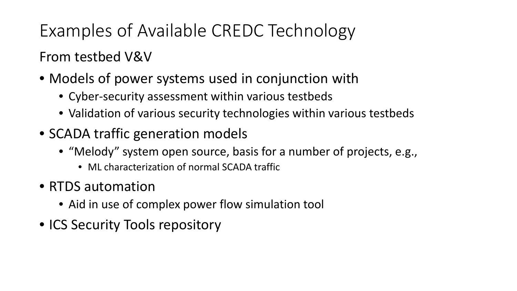### From testbed V&V

- Models of power systems used in conjunction with
	- Cyber-security assessment within various testbeds
	- Validation of various security technologies within various testbeds
- SCADA traffic generation models
	- "Melody" system open source, basis for a number of projects, e.g.,
		- ML characterization of normal SCADA traffic
- RTDS automation
	- Aid in use of complex power flow simulation tool
- ICS Security Tools repository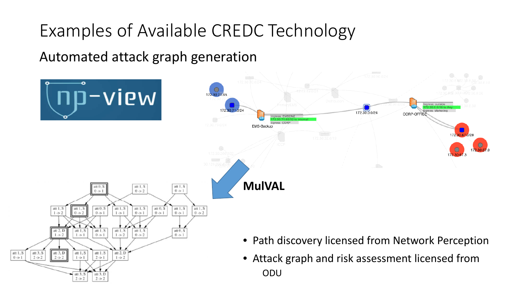Automated attack graph generation

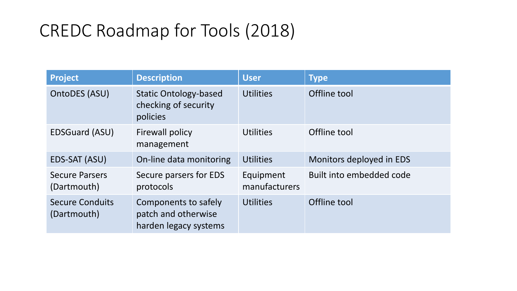| <b>Project</b>                        | <b>Description</b>                                                   | <b>User</b>                | <b>Type</b>              |
|---------------------------------------|----------------------------------------------------------------------|----------------------------|--------------------------|
| OntoDES (ASU)                         | <b>Static Ontology-based</b><br>checking of security<br>policies     | <b>Utilities</b>           | Offline tool             |
| <b>EDSGuard (ASU)</b>                 | Firewall policy<br>management                                        | <b>Utilities</b>           | Offline tool             |
| EDS-SAT (ASU)                         | On-line data monitoring                                              | <b>Utilities</b>           | Monitors deployed in EDS |
| <b>Secure Parsers</b><br>(Dartmouth)  | Secure parsers for EDS<br>protocols                                  | Equipment<br>manufacturers | Built into embedded code |
| <b>Secure Conduits</b><br>(Dartmouth) | Components to safely<br>patch and otherwise<br>harden legacy systems | <b>Utilities</b>           | Offline tool             |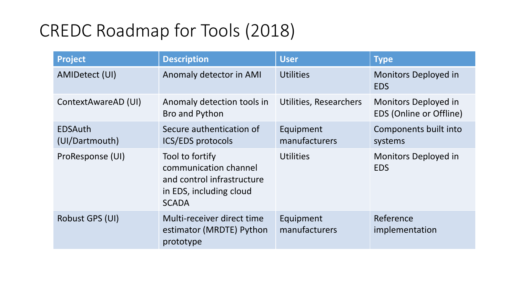| <b>Project</b>                   | <b>Description</b>                                                                                                | <b>User</b>                   | <b>Type</b>                                     |
|----------------------------------|-------------------------------------------------------------------------------------------------------------------|-------------------------------|-------------------------------------------------|
| AMIDetect (UI)                   | Anomaly detector in AMI                                                                                           | <b>Utilities</b>              | Monitors Deployed in<br><b>EDS</b>              |
| ContextAwareAD (UI)              | Anomaly detection tools in<br>Bro and Python                                                                      | <b>Utilities, Researchers</b> | Monitors Deployed in<br>EDS (Online or Offline) |
| <b>EDSAuth</b><br>(UI/Dartmouth) | Secure authentication of<br><b>ICS/EDS</b> protocols                                                              | Equipment<br>manufacturers    | Components built into<br>systems                |
| ProResponse (UI)                 | Tool to fortify<br>communication channel<br>and control infrastructure<br>in EDS, including cloud<br><b>SCADA</b> | <b>Utilities</b>              | Monitors Deployed in<br><b>EDS</b>              |
| Robust GPS (UI)                  | Multi-receiver direct time<br>estimator (MRDTE) Python<br>prototype                                               | Equipment<br>manufacturers    | Reference<br>implementation                     |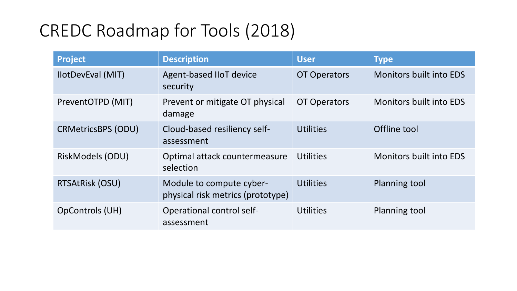| <b>Project</b>            | <b>Description</b>                                            | <b>User</b>         | <b>Type</b>                    |
|---------------------------|---------------------------------------------------------------|---------------------|--------------------------------|
| <b>IlotDevEval (MIT)</b>  | Agent-based IIoT device<br>security                           | <b>OT Operators</b> | <b>Monitors built into EDS</b> |
| PreventOTPD (MIT)         | Prevent or mitigate OT physical<br>damage                     | <b>OT Operators</b> | <b>Monitors built into EDS</b> |
| <b>CRMetricsBPS (ODU)</b> | Cloud-based resiliency self-<br>assessment                    | <b>Utilities</b>    | Offline tool                   |
| RiskModels (ODU)          | Optimal attack countermeasure<br>selection                    | <b>Utilities</b>    | <b>Monitors built into EDS</b> |
| RTSAtRisk (OSU)           | Module to compute cyber-<br>physical risk metrics (prototype) | <b>Utilities</b>    | Planning tool                  |
| OpControls (UH)           | <b>Operational control self-</b><br>assessment                | <b>Utilities</b>    | Planning tool                  |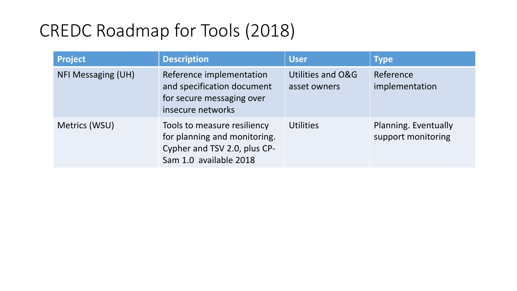| <b>Project</b>            | <b>Description</b>                                                                                                    | <b>User</b>                       | <b>Type</b>                                |
|---------------------------|-----------------------------------------------------------------------------------------------------------------------|-----------------------------------|--------------------------------------------|
| <b>NFI Messaging (UH)</b> | Reference implementation<br>and specification document<br>for secure messaging over<br>insecure networks              | Utilities and O&G<br>asset owners | Reference<br>implementation                |
| Metrics (WSU)             | Tools to measure resiliency<br>for planning and monitoring.<br>Cypher and TSV 2.0, plus CP-<br>Sam 1.0 available 2018 | <b>Utilities</b>                  | Planning. Eventually<br>support monitoring |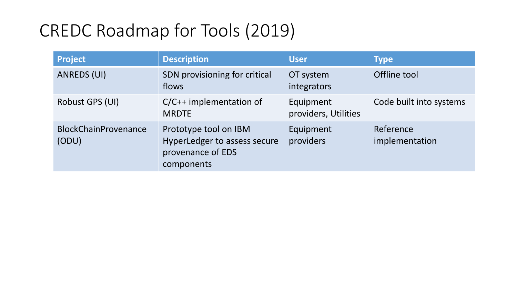| <b>Project</b>                       | <b>Description</b>                                                                       | <b>User</b>                       | <b>Type</b>                 |
|--------------------------------------|------------------------------------------------------------------------------------------|-----------------------------------|-----------------------------|
| ANREDS (UI)                          | SDN provisioning for critical<br>flows                                                   | OT system<br>integrators          | Offline tool                |
| Robust GPS (UI)                      | $C/C++$ implementation of<br><b>MRDTE</b>                                                | Equipment<br>providers, Utilities | Code built into systems     |
| <b>BlockChainProvenance</b><br>(ODU) | Prototype tool on IBM<br>HyperLedger to assess secure<br>provenance of EDS<br>components | Equipment<br>providers            | Reference<br>implementation |